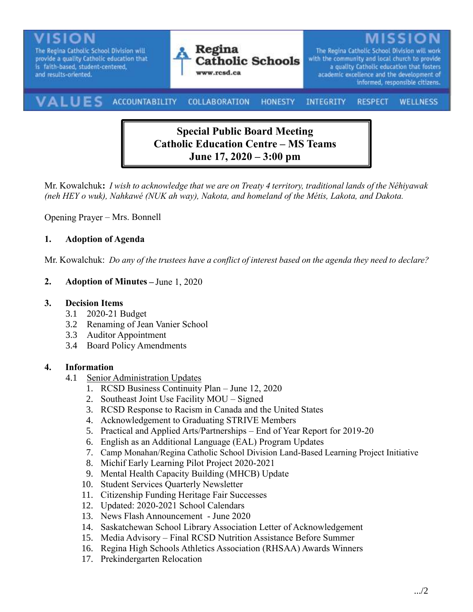

# **Special Public Board Meeting Catholic Education Centre – MS Teams June 17, 2020 – 3:00 pm**

Mr. Kowalchuk**:** *I wish to acknowledge that we are on Treaty 4 territory, traditional lands of the Nêhiyawak (neh HEY o wuk), Nahkawé (NUK ah way), Nakota, and homeland of the Métis, Lakota, and Dakota.*

Opening Prayer – Mrs. Bonnell

### **1. Adoption of Agenda**

Mr. Kowalchuk: *Do any of the trustees have a conflict of interest based on the agenda they need to declare?*

#### **2. Adoption of Minutes –** June 1, 2020

#### **3. Decision Items**

- 3.1 2020-21 Budget
- 3.2 Renaming of Jean Vanier School
- 3.3 Auditor Appointment
- 3.4 Board Policy Amendments

#### **4. Information**

- 4.1 Senior Administration Updates
	- 1. RCSD Business Continuity Plan June 12, 2020
	- 2. Southeast Joint Use Facility MOU Signed
	- 3. RCSD Response to Racism in Canada and the United States
	- 4. Acknowledgement to Graduating STRIVE Members
	- 5. Practical and Applied Arts/Partnerships End of Year Report for 2019-20
	- 6. English as an Additional Language (EAL) Program Updates
	- 7. Camp Monahan/Regina Catholic School Division Land-Based Learning Project Initiative
	- 8. Michif Early Learning Pilot Project 2020-2021
	- 9. Mental Health Capacity Building (MHCB) Update
	- 10. Student Services Quarterly Newsletter
	- 11. Citizenship Funding Heritage Fair Successes
	- 12. Updated: 2020-2021 School Calendars
	- 13. News Flash Announcement June 2020
	- 14. Saskatchewan School Library Association Letter of Acknowledgement
	- 15. Media Advisory Final RCSD Nutrition Assistance Before Summer
	- 16. Regina High Schools Athletics Association (RHSAA) Awards Winners
	- 17. Prekindergarten Relocation